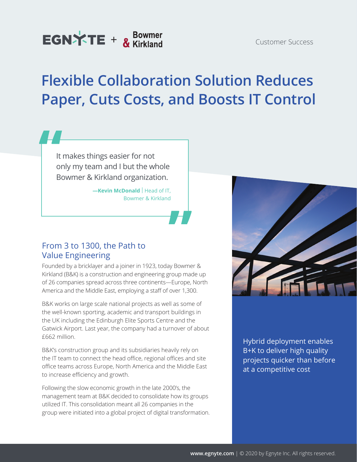# **Flexible Collaboration Solution Reduces Paper, Cuts Costs, and Boosts IT Control**

It makes things easier for not only my team and I but the whole Bowmer & Kirkland organization.

> **-Kevin McDonald** | Head of IT, Bowmer & Kirkland

## From 3 to 1300, the Path to Value Engineering

Founded by a bricklayer and a joiner in 1923, today Bowmer & Kirkland (B&K) is a construction and engineering group made up of 26 companies spread across three continents—Europe, North America and the Middle East, employing a staff of over 1,300.

B&K works on large scale national projects as well as some of the well-known sporting, academic and transport buildings in the UK including the Edinburgh Elite Sports Centre and the Gatwick Airport. Last year, the company had a turnover of about £662 million.

B&K's construction group and its subsidiaries heavily rely on the IT team to connect the head office, regional offices and site office teams across Europe, North America and the Middle East to increase efficiency and growth.

Following the slow economic growth in the late 2000's, the management team at B&K decided to consolidate how its groups utilized IT. This consolidation meant all 26 companies in the group were initiated into a global project of digital transformation.



Hybrid deployment enables B+K to deliver high quality projects quicker than before at a competitive cost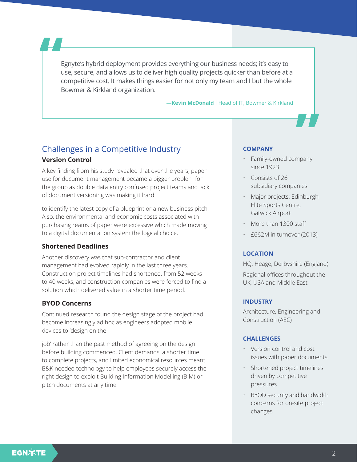Egnyte's hybrid deployment provides everything our business needs; it's easy to use, secure, and allows us to deliver high quality projects quicker than before at a competitive cost. It makes things easier for not only my team and I but the whole Bowmer & Kirkland organization.

#### **-Kevin McDonald** | Head of IT, Bowmer & Kirkland

## Challenges in a Competitive Industry **Version Control**

A key finding from his study revealed that over the years, paper use for document management became a bigger problem for the group as double data entry confused project teams and lack of document versioning was making it hard

to identify the latest copy of a blueprint or a new business pitch. Also, the environmental and economic costs associated with purchasing reams of paper were excessive which made moving to a digital documentation system the logical choice.

#### **Shortened Deadlines**

Another discovery was that sub-contractor and client management had evolved rapidly in the last three years. Construction project timelines had shortened, from 52 weeks to 40 weeks, and construction companies were forced to find a solution which delivered value in a shorter time period.

#### **BYOD Concerns**

Continued research found the design stage of the project had become increasingly ad hoc as engineers adopted mobile devices to 'design on the

job' rather than the past method of agreeing on the design before building commenced. Client demands, a shorter time to complete projects, and limited economical resources meant B&K needed technology to help employees securely access the right design to exploit Building Information Modelling (BIM) or pitch documents at any time.

#### **COMPANY**

- Family-owned company since 1923
- Consists of 26 subsidiary companies
- Major projects: Edinburgh Elite Sports Centre, Gatwick Airport
- More than 1300 staff
- £662M in turnover (2013)

#### **LOCATION**

HQ: Heage, Derbyshire (England) Regional offices throughout the UK, USA and Middle East

#### **INDUSTRY**

Architecture, Engineering and Construction (AEC)

#### **CHALLENGES**

- Version control and cost issues with paper documents
- Shortened project timelines driven by competitive pressures
- BYOD security and bandwidth concerns for on-site project changes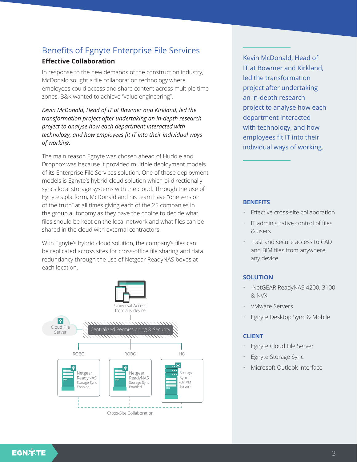## Benefits of Egnyte Enterprise File Services

### **Effective Collaboration**

In response to the new demands of the construction industry, McDonald sought a file collaboration technology where employees could access and share content across multiple time zones. B&K wanted to achieve "value engineering".

*Kevin McDonald, Head of IT at Bowmer and Kirkland, led the transformation project after undertaking an in-depth research project to analyse how each department interacted with technology, and how employees fit IT into their individual ways of working.*

The main reason Egnyte was chosen ahead of Huddle and Dropbox was because it provided multiple deployment models of its Enterprise File Services solution. One of those deployment models is Egnyte's hybrid cloud solution which bi-directionally syncs local storage systems with the cloud. Through the use of Egnyte's platform, McDonald and his team have "one version of the truth" at all times giving each of the 25 companies in the group autonomy as they have the choice to decide what files should be kept on the local network and what files can be shared in the cloud with external contractors.

With Egnyte's hybrid cloud solution, the company's files can be replicated across sites for cross-office file sharing and data redundancy through the use of Netgear ReadyNAS boxes at each location.



Kevin McDonald, Head of IT at Bowmer and Kirkland, led the transformation project after undertaking an in-depth research project to analyse how each department interacted with technology, and how employees fit IT into their individual ways of working.

#### **BENEFITS**

- Effective cross-site collaboration
- IT administrative control of files & users
- Fast and secure access to CAD and BIM files from anywhere, any device

### **SOLUTION**

- NetGEAR ReadyNAS 4200, 3100 & NVX
- VMware Servers
- Egnyte Desktop Sync & Mobile

#### **CLIENT**

- Egnyte Cloud File Server
- Egnyte Storage Sync
- Microsoft Outlook Interface